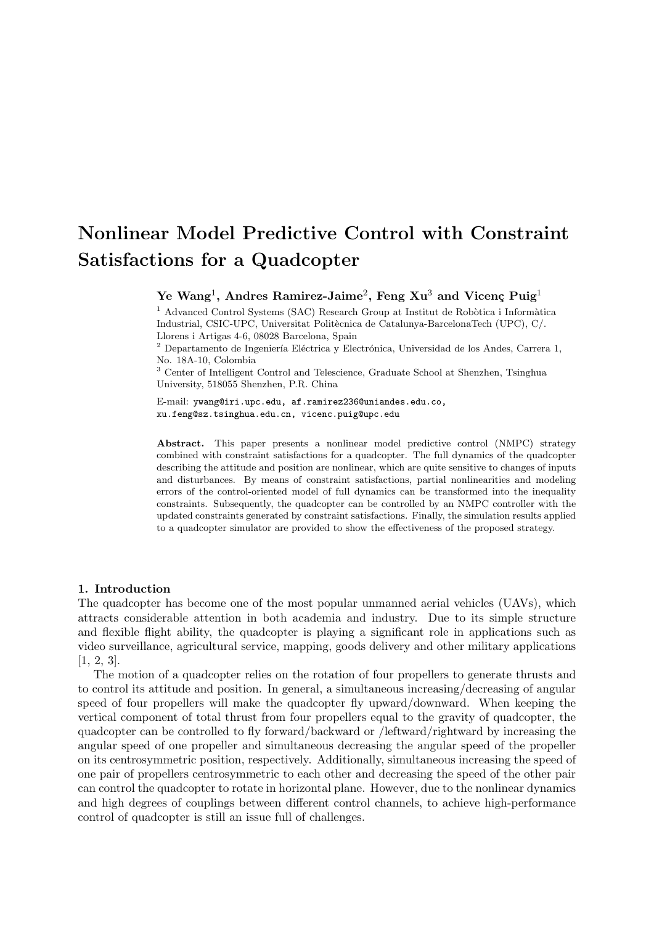# Nonlinear Model Predictive Control with Constraint Satisfactions for a Quadcopter

# Ye Wang<sup>1</sup>, Andres Ramirez-Jaime<sup>2</sup>, Feng Xu<sup>3</sup> and Vicenç Puig<sup>1</sup>

 $1$  Advanced Control Systems (SAC) Research Group at Institut de Robòtica i Informàtica Industrial, CSIC-UPC, Universitat Politècnica de Catalunya-BarcelonaTech (UPC), C/. Llorens i Artigas 4-6, 08028 Barcelona, Spain

 $2$  Departamento de Ingeniería Eléctrica y Electrónica, Universidad de los Andes, Carrera 1, No. 18A-10, Colombia

<sup>3</sup> Center of Intelligent Control and Telescience, Graduate School at Shenzhen, Tsinghua University, 518055 Shenzhen, P.R. China

E-mail: ywang@iri.upc.edu, af.ramirez236@uniandes.edu.co, xu.feng@sz.tsinghua.edu.cn, vicenc.puig@upc.edu

Abstract. This paper presents a nonlinear model predictive control (NMPC) strategy combined with constraint satisfactions for a quadcopter. The full dynamics of the quadcopter describing the attitude and position are nonlinear, which are quite sensitive to changes of inputs and disturbances. By means of constraint satisfactions, partial nonlinearities and modeling errors of the control-oriented model of full dynamics can be transformed into the inequality constraints. Subsequently, the quadcopter can be controlled by an NMPC controller with the updated constraints generated by constraint satisfactions. Finally, the simulation results applied to a quadcopter simulator are provided to show the effectiveness of the proposed strategy.

## 1. Introduction

The quadcopter has become one of the most popular unmanned aerial vehicles (UAVs), which attracts considerable attention in both academia and industry. Due to its simple structure and flexible flight ability, the quadcopter is playing a significant role in applications such as video surveillance, agricultural service, mapping, goods delivery and other military applications [1, 2, 3].

The motion of a quadcopter relies on the rotation of four propellers to generate thrusts and to control its attitude and position. In general, a simultaneous increasing/decreasing of angular speed of four propellers will make the quadcopter fly upward/downward. When keeping the vertical component of total thrust from four propellers equal to the gravity of quadcopter, the quadcopter can be controlled to fly forward/backward or /leftward/rightward by increasing the angular speed of one propeller and simultaneous decreasing the angular speed of the propeller on its centrosymmetric position, respectively. Additionally, simultaneous increasing the speed of one pair of propellers centrosymmetric to each other and decreasing the speed of the other pair can control the quadcopter to rotate in horizontal plane. However, due to the nonlinear dynamics and high degrees of couplings between different control channels, to achieve high-performance control of quadcopter is still an issue full of challenges.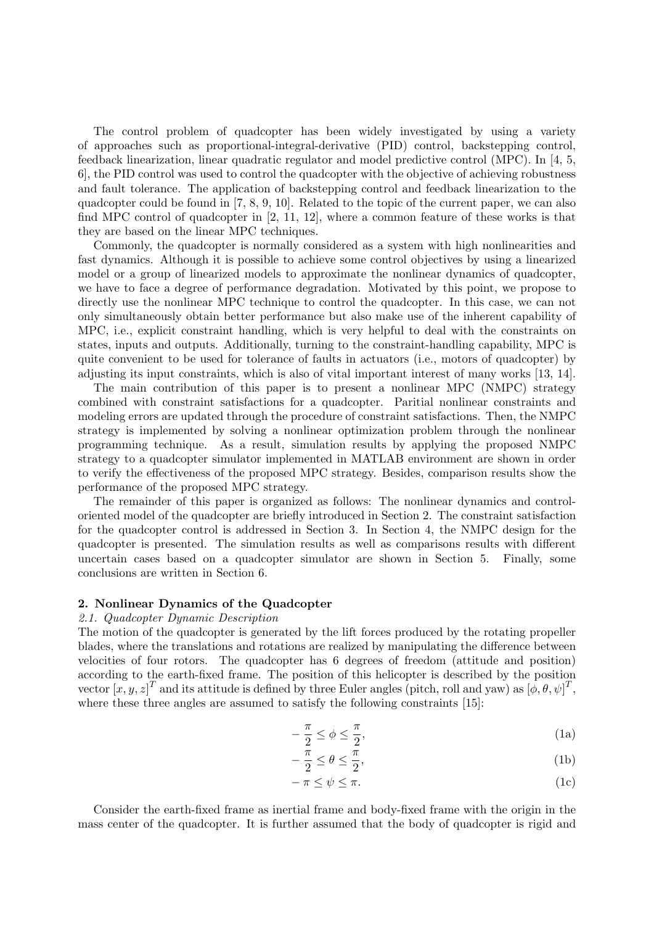The control problem of quadcopter has been widely investigated by using a variety of approaches such as proportional-integral-derivative (PID) control, backstepping control, feedback linearization, linear quadratic regulator and model predictive control (MPC). In [4, 5, 6], the PID control was used to control the quadcopter with the objective of achieving robustness and fault tolerance. The application of backstepping control and feedback linearization to the quadcopter could be found in [7, 8, 9, 10]. Related to the topic of the current paper, we can also find MPC control of quadcopter in [2, 11, 12], where a common feature of these works is that they are based on the linear MPC techniques.

Commonly, the quadcopter is normally considered as a system with high nonlinearities and fast dynamics. Although it is possible to achieve some control objectives by using a linearized model or a group of linearized models to approximate the nonlinear dynamics of quadcopter, we have to face a degree of performance degradation. Motivated by this point, we propose to directly use the nonlinear MPC technique to control the quadcopter. In this case, we can not only simultaneously obtain better performance but also make use of the inherent capability of MPC, i.e., explicit constraint handling, which is very helpful to deal with the constraints on states, inputs and outputs. Additionally, turning to the constraint-handling capability, MPC is quite convenient to be used for tolerance of faults in actuators (i.e., motors of quadcopter) by adjusting its input constraints, which is also of vital important interest of many works [13, 14].

The main contribution of this paper is to present a nonlinear MPC (NMPC) strategy combined with constraint satisfactions for a quadcopter. Paritial nonlinear constraints and modeling errors are updated through the procedure of constraint satisfactions. Then, the NMPC strategy is implemented by solving a nonlinear optimization problem through the nonlinear programming technique. As a result, simulation results by applying the proposed NMPC strategy to a quadcopter simulator implemented in MATLAB environment are shown in order to verify the effectiveness of the proposed MPC strategy. Besides, comparison results show the performance of the proposed MPC strategy.

The remainder of this paper is organized as follows: The nonlinear dynamics and controloriented model of the quadcopter are briefly introduced in Section 2. The constraint satisfaction for the quadcopter control is addressed in Section 3. In Section 4, the NMPC design for the quadcopter is presented. The simulation results as well as comparisons results with different uncertain cases based on a quadcopter simulator are shown in Section 5. Finally, some conclusions are written in Section 6.

#### 2. Nonlinear Dynamics of the Quadcopter

#### 2.1. Quadcopter Dynamic Description

The motion of the quadcopter is generated by the lift forces produced by the rotating propeller blades, where the translations and rotations are realized by manipulating the difference between velocities of four rotors. The quadcopter has 6 degrees of freedom (attitude and position) according to the earth-fixed frame. The position of this helicopter is described by the position vector  $[x, y, z]^T$  and its attitude is defined by three Euler angles (pitch, roll and yaw) as  $[\phi, \theta, \psi]^T$ , where these three angles are assumed to satisfy the following constraints [15]:

$$
-\frac{\pi}{2} \le \phi \le \frac{\pi}{2},\tag{1a}
$$

$$
-\frac{\pi}{2} \le \theta \le \frac{\pi}{2},\tag{1b}
$$

$$
-\pi \le \psi \le \pi. \tag{1c}
$$

Consider the earth-fixed frame as inertial frame and body-fixed frame with the origin in the mass center of the quadcopter. It is further assumed that the body of quadcopter is rigid and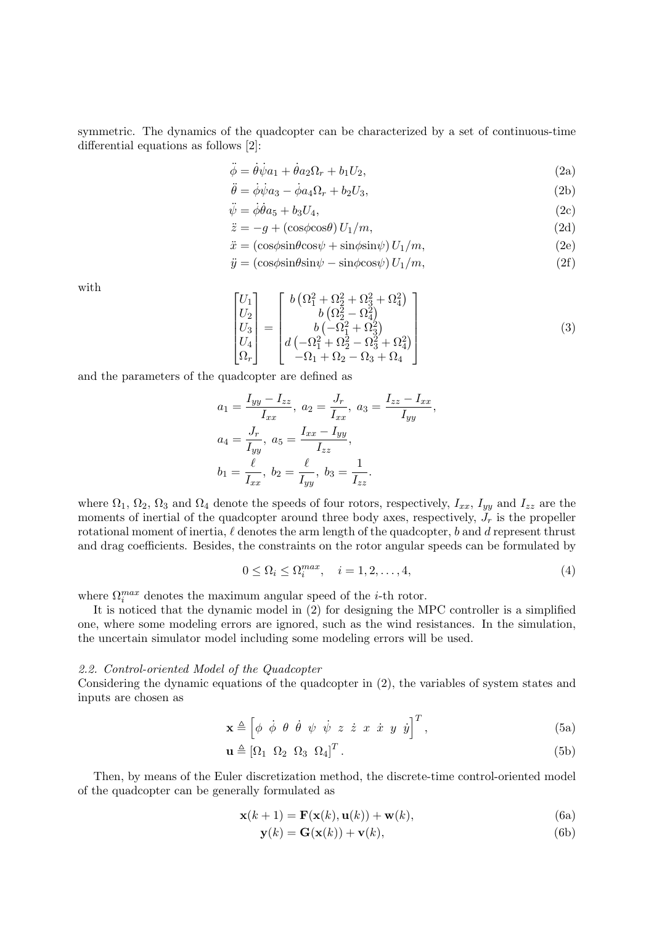symmetric. The dynamics of the quadcopter can be characterized by a set of continuous-time differential equations as follows [2]:

$$
\ddot{\phi} = \dot{\theta}\dot{\psi}a_1 + \dot{\theta}a_2\Omega_r + b_1U_2,\tag{2a}
$$

$$
\ddot{\theta} = \dot{\phi}\dot{\psi}a_3 - \dot{\phi}a_4\Omega_r + b_2U_3,
$$
\n
$$
\ddot{\psi} = \dot{\phi}\dot{\theta}a_5 + b_3U_4.
$$
\n(2c)

$$
\ddot{\psi} = \dot{\phi}\dot{\theta}a_5 + b_3U_4,\tag{2c}
$$

$$
\ddot{z} = -g + (\cos\phi \cos\theta) U_1/m,\tag{2d}
$$

$$
\ddot{x} = (\cos\phi \sin\theta \cos\psi + \sin\phi \sin\psi) U_1/m,\tag{2e}
$$

$$
\ddot{y} = (\cos\phi \sin\theta \sin\psi - \sin\phi \cos\psi) U_1/m,\tag{2f}
$$

with

$$
\begin{bmatrix} U_1 \\ U_2 \\ U_3 \\ U_4 \\ \Omega_r \end{bmatrix} = \begin{bmatrix} b\left(\Omega_1^2 + \Omega_2^2 + \Omega_3^2 + \Omega_4^2\right) \\ b\left(\Omega_2^2 - \Omega_4^2\right) \\ b\left(-\Omega_1^2 + \Omega_3^2\right) \\ d\left(-\Omega_1^2 + \Omega_2^2 - \Omega_3^2 + \Omega_4^2\right) \\ -\Omega_1 + \Omega_2 - \Omega_3 + \Omega_4 \end{bmatrix}
$$
\n(3)

and the parameters of the quadcopter are defined as

$$
a_1 = \frac{I_{yy} - I_{zz}}{I_{xx}}, \ a_2 = \frac{J_r}{I_{xx}}, \ a_3 = \frac{I_{zz} - I_{xx}}{I_{yy}},
$$

$$
a_4 = \frac{J_r}{I_{yy}}, \ a_5 = \frac{I_{xx} - I_{yy}}{I_{zz}},
$$

$$
b_1 = \frac{\ell}{I_{xx}}, \ b_2 = \frac{\ell}{I_{yy}}, \ b_3 = \frac{1}{I_{zz}}.
$$

where  $\Omega_1$ ,  $\Omega_2$ ,  $\Omega_3$  and  $\Omega_4$  denote the speeds of four rotors, respectively,  $I_{xx}$ ,  $I_{yy}$  and  $I_{zz}$  are the moments of inertial of the quadcopter around three body axes, respectively,  $J_r$  is the propeller rotational moment of inertia,  $\ell$  denotes the arm length of the quadcopter, b and d represent thrust and drag coefficients. Besides, the constraints on the rotor angular speeds can be formulated by

$$
0 \le \Omega_i \le \Omega_i^{max}, \quad i = 1, 2, \dots, 4,
$$
\n<sup>(4)</sup>

where  $\Omega_i^{max}$  denotes the maximum angular speed of the *i*-th rotor.

It is noticed that the dynamic model in (2) for designing the MPC controller is a simplified one, where some modeling errors are ignored, such as the wind resistances. In the simulation, the uncertain simulator model including some modeling errors will be used.

## 2.2. Control-oriented Model of the Quadcopter

Considering the dynamic equations of the quadcopter in (2), the variables of system states and inputs are chosen as

$$
\mathbf{x} \triangleq \left[ \phi \phi \theta \dot{\theta} \psi \dot{\psi} z \dot{z} x \dot{x} y \dot{y} \right]^T, \tag{5a}
$$

$$
\mathbf{u} \triangleq [\Omega_1 \ \Omega_2 \ \Omega_3 \ \Omega_4]^T. \tag{5b}
$$

Then, by means of the Euler discretization method, the discrete-time control-oriented model of the quadcopter can be generally formulated as

$$
\mathbf{x}(k+1) = \mathbf{F}(\mathbf{x}(k), \mathbf{u}(k)) + \mathbf{w}(k),
$$
\n(6a)

$$
\mathbf{y}(k) = \mathbf{G}(\mathbf{x}(k)) + \mathbf{v}(k),\tag{6b}
$$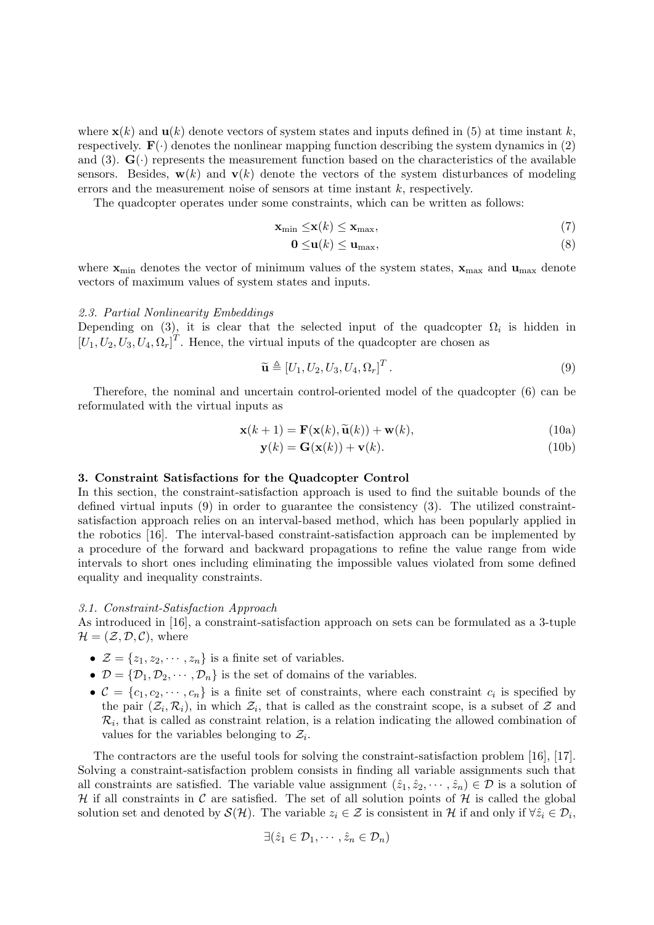where  $\mathbf{x}(k)$  and  $\mathbf{u}(k)$  denote vectors of system states and inputs defined in (5) at time instant k, respectively.  $\mathbf{F}(\cdot)$  denotes the nonlinear mapping function describing the system dynamics in (2) and  $(3)$ .  $\mathbf{G}(\cdot)$  represents the measurement function based on the characteristics of the available sensors. Besides,  $\mathbf{w}(k)$  and  $\mathbf{v}(k)$  denote the vectors of the system disturbances of modeling errors and the measurement noise of sensors at time instant  $k$ , respectively.

The quadcopter operates under some constraints, which can be written as follows:

$$
\mathbf{x}_{\min} \leq \mathbf{x}(k) \leq \mathbf{x}_{\max},\tag{7}
$$

$$
\mathbf{0} \le \mathbf{u}(k) \le \mathbf{u}_{\text{max}},\tag{8}
$$

where  $\mathbf{x}_{\text{min}}$  denotes the vector of minimum values of the system states,  $\mathbf{x}_{\text{max}}$  and  $\mathbf{u}_{\text{max}}$  denote vectors of maximum values of system states and inputs.

#### 2.3. Partial Nonlinearity Embeddings

Depending on (3), it is clear that the selected input of the quadcopter  $\Omega_i$  is hidden in  $[U_1, U_2, U_3, U_4, \Omega_r]^T$ . Hence, the virtual inputs of the quadcopter are chosen as

$$
\widetilde{\mathbf{u}} \triangleq [U_1, U_2, U_3, U_4, \Omega_r]^T. \tag{9}
$$

Therefore, the nominal and uncertain control-oriented model of the quadcopter (6) can be reformulated with the virtual inputs as

$$
\mathbf{x}(k+1) = \mathbf{F}(\mathbf{x}(k), \widetilde{\mathbf{u}}(k)) + \mathbf{w}(k),
$$
\n(10a)

$$
\mathbf{y}(k) = \mathbf{G}(\mathbf{x}(k)) + \mathbf{v}(k). \tag{10b}
$$

## 3. Constraint Satisfactions for the Quadcopter Control

In this section, the constraint-satisfaction approach is used to find the suitable bounds of the defined virtual inputs (9) in order to guarantee the consistency (3). The utilized constraintsatisfaction approach relies on an interval-based method, which has been popularly applied in the robotics [16]. The interval-based constraint-satisfaction approach can be implemented by a procedure of the forward and backward propagations to refine the value range from wide intervals to short ones including eliminating the impossible values violated from some defined equality and inequality constraints.

## 3.1. Constraint-Satisfaction Approach

As introduced in [16], a constraint-satisfaction approach on sets can be formulated as a 3-tuple  $\mathcal{H} = (\mathcal{Z}, \mathcal{D}, \mathcal{C})$ , where

- $\mathcal{Z} = \{z_1, z_2, \cdots, z_n\}$  is a finite set of variables.
- $\mathcal{D} = {\mathcal{D}_1, \mathcal{D}_2, \cdots, \mathcal{D}_n}$  is the set of domains of the variables.
- $C = \{c_1, c_2, \dots, c_n\}$  is a finite set of constraints, where each constraint  $c_i$  is specified by the pair  $(\mathcal{Z}_i, \mathcal{R}_i)$ , in which  $\mathcal{Z}_i$ , that is called as the constraint scope, is a subset of  $\mathcal Z$  and  $\mathcal{R}_i$ , that is called as constraint relation, is a relation indicating the allowed combination of values for the variables belonging to  $\mathcal{Z}_i$ .

The contractors are the useful tools for solving the constraint-satisfaction problem [16], [17]. Solving a constraint-satisfaction problem consists in finding all variable assignments such that all constraints are satisfied. The variable value assignment  $(\hat{z}_1, \hat{z}_2, \dots, \hat{z}_n) \in \mathcal{D}$  is a solution of H if all constraints in C are satisfied. The set of all solution points of H is called the global solution set and denoted by  $\mathcal{S}(\mathcal{H})$ . The variable  $z_i \in \mathcal{Z}$  is consistent in  $\mathcal{H}$  if and only if  $\forall \hat{z}_i \in \mathcal{D}_i$ ,

$$
\exists (\hat{z}_1 \in \mathcal{D}_1, \cdots, \hat{z}_n \in \mathcal{D}_n)
$$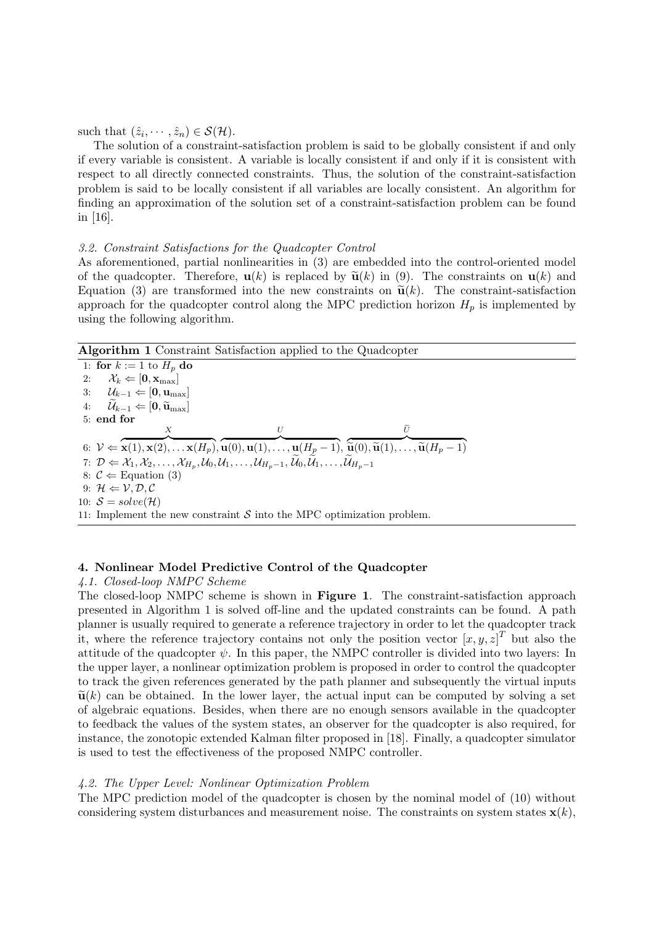such that  $(\hat{z}_i, \dots, \hat{z}_n) \in \mathcal{S}(\mathcal{H})$ .

The solution of a constraint-satisfaction problem is said to be globally consistent if and only if every variable is consistent. A variable is locally consistent if and only if it is consistent with respect to all directly connected constraints. Thus, the solution of the constraint-satisfaction problem is said to be locally consistent if all variables are locally consistent. An algorithm for finding an approximation of the solution set of a constraint-satisfaction problem can be found in [16].

## 3.2. Constraint Satisfactions for the Quadcopter Control

As aforementioned, partial nonlinearities in (3) are embedded into the control-oriented model of the quadcopter. Therefore,  $\mathbf{u}(k)$  is replaced by  $\tilde{\mathbf{u}}(k)$  in (9). The constraints on  $\mathbf{u}(k)$  and Equation (3) are transformed into the new constraints on  $\tilde{\mathbf{u}}(k)$ . The constraint-satisfaction approach for the quadcopter control along the MPC prediction horizon  $H_p$  is implemented by using the following algorithm.

## Algorithm 1 Constraint Satisfaction applied to the Quadcopter

1: for  $k := 1$  to  $H_p$  do 2:  $\mathcal{X}_k \Leftarrow [0, \mathbf{x}_{\text{max}}]$ <br>3:  $\mathcal{U}_{k-1} \Leftarrow [0, \mathbf{u}_{\text{max}}]$ 3:  $\mathcal{U}_{k-1} \Leftarrow [0, \mathbf{u}_{max}]$ <br>4:  $\widetilde{\mathcal{U}}_{k-1} \Leftarrow [0, \widetilde{\mathbf{u}}_{max}]$ 4:  $\mathcal{U}_{k-1} \Leftarrow [0, \widetilde{\mathbf{u}}_{\text{max}}]$ <br>5: end for 5: end for 6:  $\mathcal{V} \Leftarrow$ X  ${\bf x}(1), {\bf x}(2), \ldots {\bf x}(H_p),$ U  ${\bf u}(0), {\bf u}(1), \ldots, {\bf u}(H_{p}-1),$  $\frac{U}{\lambda}$  ${\widetilde {\widetilde {\mathbf u}}(0),\widetilde {\mathbf u}(1),\ldots,\widetilde {\mathbf u}(H_p-1)}$  $7: \mathcal{D} \Leftarrow \mathcal{X}_1, \mathcal{X}_2, \ldots, \mathcal{X}_{H_p}, \mathcal{U}_0, \mathcal{U}_1, \ldots, \mathcal{U}_{H_p-1}, \mathcal{U}_0, \mathcal{U}_1, \ldots, \mathcal{U}_{H_p-1}$ 8:  $C \leftarrow$  Equation (3) 9:  $\mathcal{H} \Leftarrow \mathcal{V}, \mathcal{D}, \mathcal{C}$ 10:  $S = solve(\mathcal{H})$ 11: Implement the new constraint  $\mathcal S$  into the MPC optimization problem.

## 4. Nonlinear Model Predictive Control of the Quadcopter

#### 4.1. Closed-loop NMPC Scheme

The closed-loop NMPC scheme is shown in Figure 1. The constraint-satisfaction approach presented in Algorithm 1 is solved off-line and the updated constraints can be found. A path planner is usually required to generate a reference trajectory in order to let the quadcopter track it, where the reference trajectory contains not only the position vector  $[x, y, z]^T$  but also the attitude of the quadcopter  $\psi$ . In this paper, the NMPC controller is divided into two layers: In the upper layer, a nonlinear optimization problem is proposed in order to control the quadcopter to track the given references generated by the path planner and subsequently the virtual inputs  $\tilde{\mathbf{u}}(k)$  can be obtained. In the lower layer, the actual input can be computed by solving a set of algebraic equations. Besides, when there are no enough sensors available in the quadcopter to feedback the values of the system states, an observer for the quadcopter is also required, for instance, the zonotopic extended Kalman filter proposed in [18]. Finally, a quadcopter simulator is used to test the effectiveness of the proposed NMPC controller.

## 4.2. The Upper Level: Nonlinear Optimization Problem

The MPC prediction model of the quadcopter is chosen by the nominal model of (10) without considering system disturbances and measurement noise. The constraints on system states  $\mathbf{x}(k)$ ,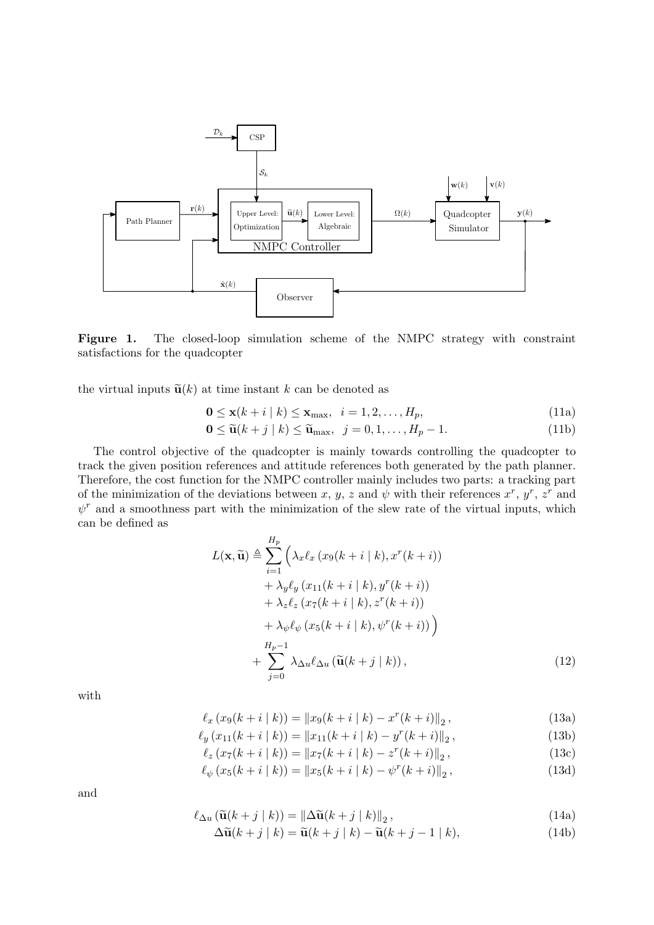

Figure 1. The closed-loop simulation scheme of the NMPC strategy with constraint satisfactions for the quadcopter

the virtual inputs  $\tilde{\mathbf{u}}(k)$  at time instant k can be denoted as

$$
\mathbf{0} \le \mathbf{x}(k+i \mid k) \le \mathbf{x}_{\text{max}}, \quad i = 1, 2, \dots, H_p,\tag{11a}
$$

$$
\mathbf{0} \le \widetilde{\mathbf{u}}(k+j \mid k) \le \widetilde{\mathbf{u}}_{\text{max}}, \ \ j = 0, 1, \dots, H_p - 1. \tag{11b}
$$

The control objective of the quadcopter is mainly towards controlling the quadcopter to track the given position references and attitude references both generated by the path planner. Therefore, the cost function for the NMPC controller mainly includes two parts: a tracking part of the minimization of the deviations between x, y, z and  $\psi$  with their references  $x^r$ ,  $y^r$ ,  $z^r$  and  $\psi^r$  and a smoothness part with the minimization of the slew rate of the virtual inputs, which can be defined as

$$
L(\mathbf{x}, \widetilde{\mathbf{u}}) \triangleq \sum_{i=1}^{H_p} \left( \lambda_x \ell_x \left( x_9(k+i \mid k), x^r(k+i) \right) \right. \\
\left. + \lambda_y \ell_y \left( x_{11}(k+i \mid k), y^r(k+i) \right) \right. \\
\left. + \lambda_z \ell_z \left( x_7(k+i \mid k), z^r(k+i) \right) \right. \\
\left. + \lambda_\psi \ell_\psi \left( x_5(k+i \mid k), \psi^r(k+i) \right) \right) \\
\left. + \sum_{j=0}^{H_p - 1} \lambda_{\Delta u} \ell_{\Delta u} \left( \widetilde{\mathbf{u}}(k+j \mid k) \right), \right. \tag{12}
$$

with

$$
\ell_x(x_9(k+i|k)) = ||x_9(k+i|k) - x^r(k+i)||_2,
$$
\n(13a)

$$
\ell_y(x_{11}(k+i|k)) = ||x_{11}(k+i|k) - y^r(k+i)||_2,
$$
\n(13b)

$$
\ell_z (x_7(k+i|k)) = ||x_7(k+i|k) - z^r(k+i)||_2,
$$
\n(13c)

$$
\ell_{\psi}(x_5(k+i|k)) = \|x_5(k+i|k) - \psi^{r}(k+i)\|_2, \qquad (13d)
$$

and

$$
\ell_{\Delta u} \left( \widetilde{\mathbf{u}}(k+j \mid k) \right) = \left\| \Delta \widetilde{\mathbf{u}}(k+j \mid k) \right\|_2, \tag{14a}
$$

$$
\Delta \widetilde{\mathbf{u}}(k+j \mid k) = \widetilde{\mathbf{u}}(k+j \mid k) - \widetilde{\mathbf{u}}(k+j-1 \mid k), \tag{14b}
$$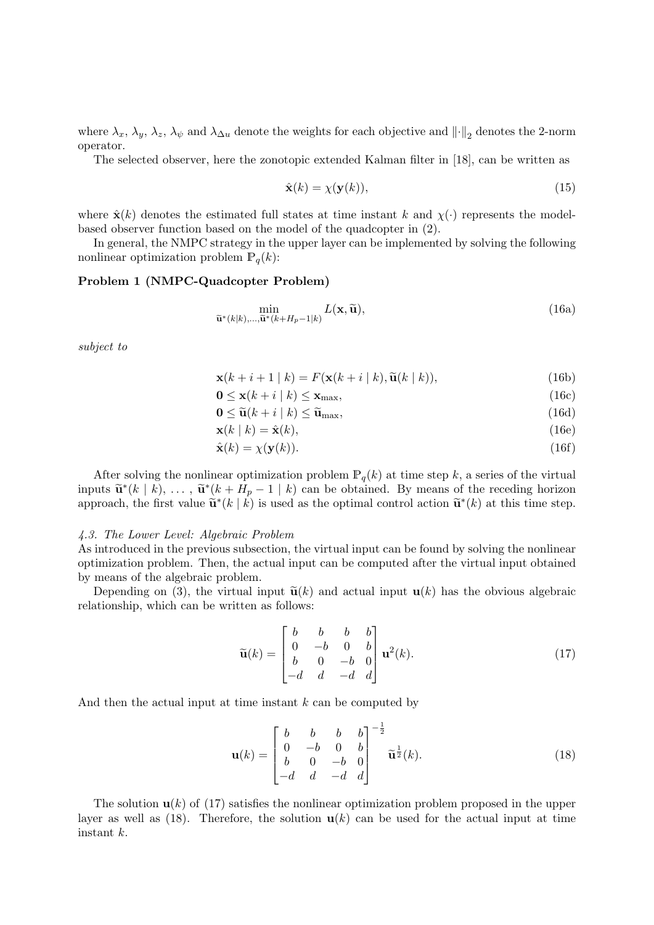where  $\lambda_x$ ,  $\lambda_y$ ,  $\lambda_z$ ,  $\lambda_\psi$  and  $\lambda_{\Delta u}$  denote the weights for each objective and  $\|\cdot\|_2$  denotes the 2-norm operator.

The selected observer, here the zonotopic extended Kalman filter in [18], can be written as

$$
\hat{\mathbf{x}}(k) = \chi(\mathbf{y}(k)),\tag{15}
$$

where  $\hat{\mathbf{x}}(k)$  denotes the estimated full states at time instant k and  $\chi(\cdot)$  represents the modelbased observer function based on the model of the quadcopter in (2).

In general, the NMPC strategy in the upper layer can be implemented by solving the following nonlinear optimization problem  $P_q(k)$ :

## Problem 1 (NMPC-Quadcopter Problem)

$$
\min_{\widetilde{\mathbf{u}}^*(k|k),\ldots,\widetilde{\mathbf{u}}^*(k+H_p-1|k)} L(\mathbf{x},\widetilde{\mathbf{u}}),\tag{16a}
$$

subject to

$$
\mathbf{x}(k+i+1 \mid k) = F(\mathbf{x}(k+i \mid k), \widetilde{\mathbf{u}}(k \mid k)),\tag{16b}
$$

$$
\mathbf{0} \le \mathbf{x}(k+i \mid k) \le \mathbf{x}_{\text{max}},\tag{16c}
$$

$$
\mathbf{0} \le \tilde{\mathbf{u}}(k+i|k) \le \tilde{\mathbf{u}}_{\text{max}},
$$
\n
$$
\mathbf{0} \le \tilde{\mathbf{u}}(k+i|k) \le \tilde{\mathbf{u}}_{\text{max}},
$$
\n(16d)\n
$$
\mathbf{v}(k|k) = \hat{\mathbf{v}}(k)
$$
\n(16e)

$$
\mathbf{x}(k \mid k) = \hat{\mathbf{x}}(k),\tag{16e}
$$

$$
\hat{\mathbf{x}}(k) = \chi(\mathbf{y}(k)).\tag{16f}
$$

After solving the nonlinear optimization problem  $P_q(k)$  at time step k, a series of the virtual inputs  $\tilde{\mathbf{u}}^*(k | k), \ldots, \tilde{\mathbf{u}}^*(k + H_p - 1 | k)$  can be obtained. By means of the receding horizon approach, the first value  $\tilde{\mathbf{u}}^*(k | k)$  is used as the optimal control action  $\tilde{\mathbf{u}}^*(k)$  at this time step.

## 4.3. The Lower Level: Algebraic Problem

As introduced in the previous subsection, the virtual input can be found by solving the nonlinear optimization problem. Then, the actual input can be computed after the virtual input obtained by means of the algebraic problem.

Depending on (3), the virtual input  $\tilde{\mathbf{u}}(k)$  and actual input  $\mathbf{u}(k)$  has the obvious algebraic relationship, which can be written as follows:

$$
\widetilde{\mathbf{u}}(k) = \begin{bmatrix} b & b & b & b \\ 0 & -b & 0 & b \\ b & 0 & -b & 0 \\ -d & d & -d & d \end{bmatrix} \mathbf{u}^{2}(k).
$$
 (17)

And then the actual input at time instant  $k$  can be computed by

$$
\mathbf{u}(k) = \begin{bmatrix} b & b & b & b \\ 0 & -b & 0 & b \\ b & 0 & -b & 0 \\ -d & d & -d & d \end{bmatrix}^{-\frac{1}{2}} \tilde{\mathbf{u}}^{\frac{1}{2}}(k).
$$
 (18)

The solution  $\mathbf{u}(k)$  of (17) satisfies the nonlinear optimization problem proposed in the upper layer as well as (18). Therefore, the solution  $\mathbf{u}(k)$  can be used for the actual input at time instant k.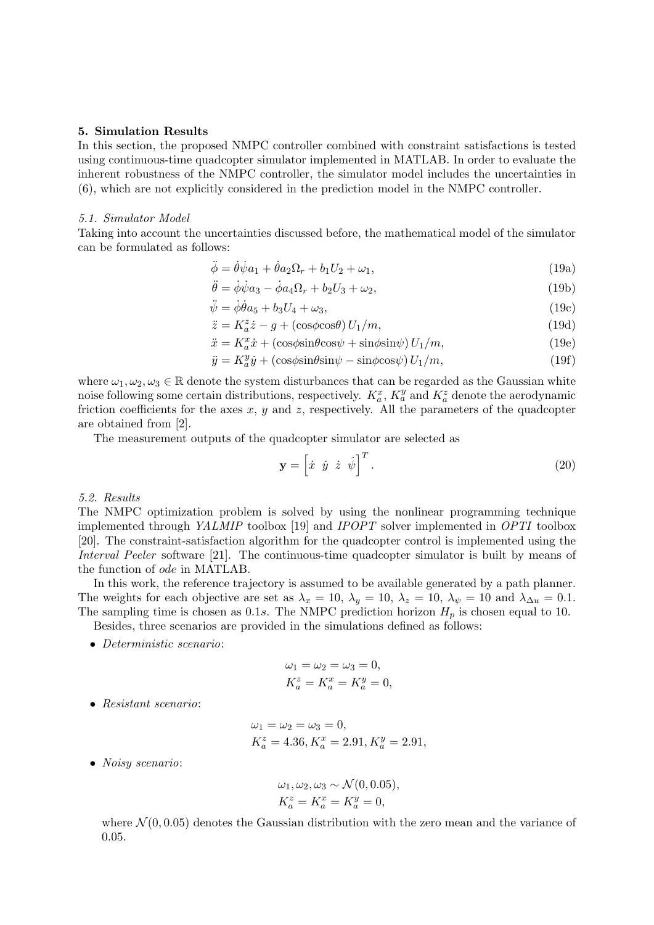#### 5. Simulation Results

In this section, the proposed NMPC controller combined with constraint satisfactions is tested using continuous-time quadcopter simulator implemented in MATLAB. In order to evaluate the inherent robustness of the NMPC controller, the simulator model includes the uncertainties in (6), which are not explicitly considered in the prediction model in the NMPC controller.

#### 5.1. Simulator Model

Taking into account the uncertainties discussed before, the mathematical model of the simulator can be formulated as follows:

$$
\ddot{\phi} = \dot{\theta}\dot{\psi}a_1 + \dot{\theta}a_2\Omega_r + b_1U_2 + \omega_1,\tag{19a}
$$

$$
\ddot{\theta} = \dot{\phi}\dot{\psi}a_3 - \dot{\phi}a_4\Omega_r + b_2U_3 + \omega_2,\tag{19b}
$$

$$
\ddot{\psi} = \dot{\phi}\dot{\theta}a_5 + b_3U_4 + \omega_3,\tag{19c}
$$

$$
\ddot{z} = K_a^z \dot{z} - g + (\cos\phi \cos\theta) U_1/m,\tag{19d}
$$

$$
\ddot{x} = K_a^x \dot{x} + (\cos\phi \sin\theta \cos\psi + \sin\phi \sin\psi) U_1/m,
$$
\n(19e)

$$
\ddot{y} = K_a^y \dot{y} + (\cos\phi \sin\theta \sin\psi - \sin\phi \cos\psi) U_1/m,\tag{19f}
$$

where  $\omega_1, \omega_2, \omega_3 \in \mathbb{R}$  denote the system disturbances that can be regarded as the Gaussian white noise following some certain distributions, respectively.  $K_a^x$ ,  $K_a^y$  and  $K_a^z$  denote the aerodynamic friction coefficients for the axes  $x, y$  and  $z$ , respectively. All the parameters of the quadcopter are obtained from [2].

The measurement outputs of the quadcopter simulator are selected as

$$
\mathbf{y} = \begin{bmatrix} \dot{x} & \dot{y} & \dot{z} & \dot{\psi} \end{bmatrix}^T.
$$
 (20)

5.2. Results

The NMPC optimization problem is solved by using the nonlinear programming technique implemented through YALMIP toolbox [19] and IPOPT solver implemented in OPTI toolbox [20]. The constraint-satisfaction algorithm for the quadcopter control is implemented using the Interval Peeler software [21]. The continuous-time quadcopter simulator is built by means of the function of ode in MATLAB.

In this work, the reference trajectory is assumed to be available generated by a path planner. The weights for each objective are set as  $\lambda_x = 10$ ,  $\lambda_y = 10$ ,  $\lambda_z = 10$ ,  $\lambda_{\psi} = 10$  and  $\lambda_{\Delta u} = 0.1$ . The sampling time is chosen as 0.1s. The NMPC prediction horizon  $H_p$  is chosen equal to 10.

Besides, three scenarios are provided in the simulations defined as follows:

• Deterministic scenario:

$$
\omega_1 = \omega_2 = \omega_3 = 0,
$$
  

$$
K_a^z = K_a^x = K_a^y = 0,
$$

• Resistant scenario:

$$
\omega_1 = \omega_2 = \omega_3 = 0,
$$
  

$$
K_a^z = 4.36, K_a^x = 2.91, K_a^y = 2.91,
$$

• Noisy scenario:

$$
\omega_1, \omega_2, \omega_3 \sim \mathcal{N}(0, 0.05),
$$
  

$$
K_a^z = K_a^x = K_a^y = 0,
$$

where  $\mathcal{N}(0, 0.05)$  denotes the Gaussian distribution with the zero mean and the variance of 0.05.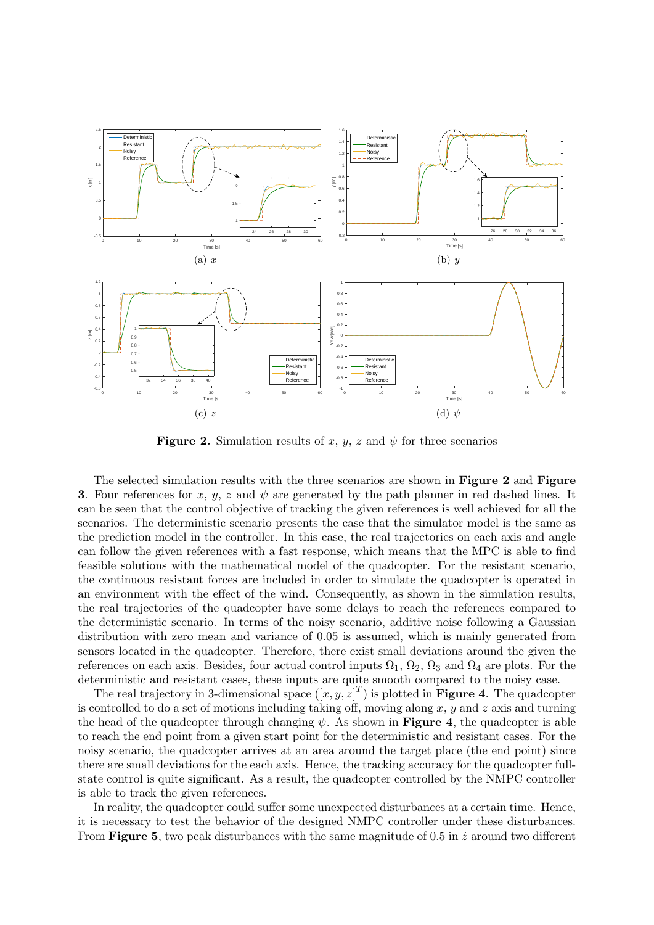

Figure 2. Simulation results of x, y, z and  $\psi$  for three scenarios

The selected simulation results with the three scenarios are shown in **Figure 2** and **Figure** 3. Four references for x, y, z and  $\psi$  are generated by the path planner in red dashed lines. It can be seen that the control objective of tracking the given references is well achieved for all the scenarios. The deterministic scenario presents the case that the simulator model is the same as the prediction model in the controller. In this case, the real trajectories on each axis and angle can follow the given references with a fast response, which means that the MPC is able to find feasible solutions with the mathematical model of the quadcopter. For the resistant scenario, the continuous resistant forces are included in order to simulate the quadcopter is operated in an environment with the effect of the wind. Consequently, as shown in the simulation results, the real trajectories of the quadcopter have some delays to reach the references compared to the deterministic scenario. In terms of the noisy scenario, additive noise following a Gaussian distribution with zero mean and variance of 0.05 is assumed, which is mainly generated from sensors located in the quadcopter. Therefore, there exist small deviations around the given the references on each axis. Besides, four actual control inputs  $\Omega_1$ ,  $\Omega_2$ ,  $\Omega_3$  and  $\Omega_4$  are plots. For the deterministic and resistant cases, these inputs are quite smooth compared to the noisy case.

The real trajectory in 3-dimensional space  $([x, y, z]^T)$  is plotted in **Figure 4.** The quadcopter is controlled to do a set of motions including taking off, moving along x, y and z axis and turning the head of the quadcopter through changing  $\psi$ . As shown in **Figure 4**, the quadcopter is able to reach the end point from a given start point for the deterministic and resistant cases. For the noisy scenario, the quadcopter arrives at an area around the target place (the end point) since there are small deviations for the each axis. Hence, the tracking accuracy for the quadcopter fullstate control is quite significant. As a result, the quadcopter controlled by the NMPC controller is able to track the given references.

In reality, the quadcopter could suffer some unexpected disturbances at a certain time. Hence, it is necessary to test the behavior of the designed NMPC controller under these disturbances. From Figure 5, two peak disturbances with the same magnitude of 0.5 in  $\dot{z}$  around two different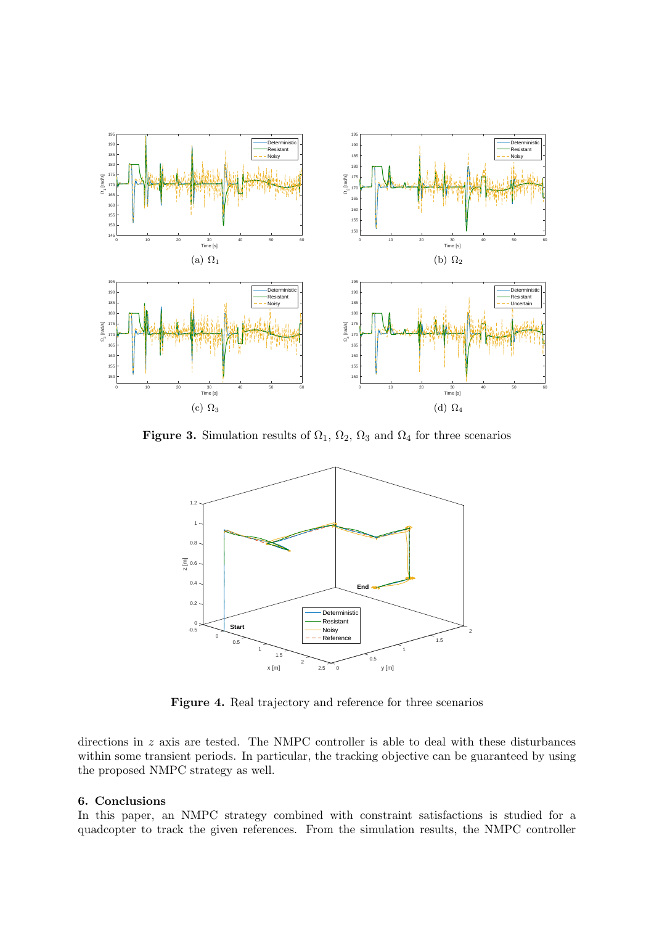

Figure 3. Simulation results of  $\Omega_1$ ,  $\Omega_2$ ,  $\Omega_3$  and  $\Omega_4$  for three scenarios



Figure 4. Real trajectory and reference for three scenarios

directions in z axis are tested. The NMPC controller is able to deal with these disturbances within some transient periods. In particular, the tracking objective can be guaranteed by using the proposed NMPC strategy as well.

# 6. Conclusions

In this paper, an NMPC strategy combined with constraint satisfactions is studied for a quadcopter to track the given references. From the simulation results, the NMPC controller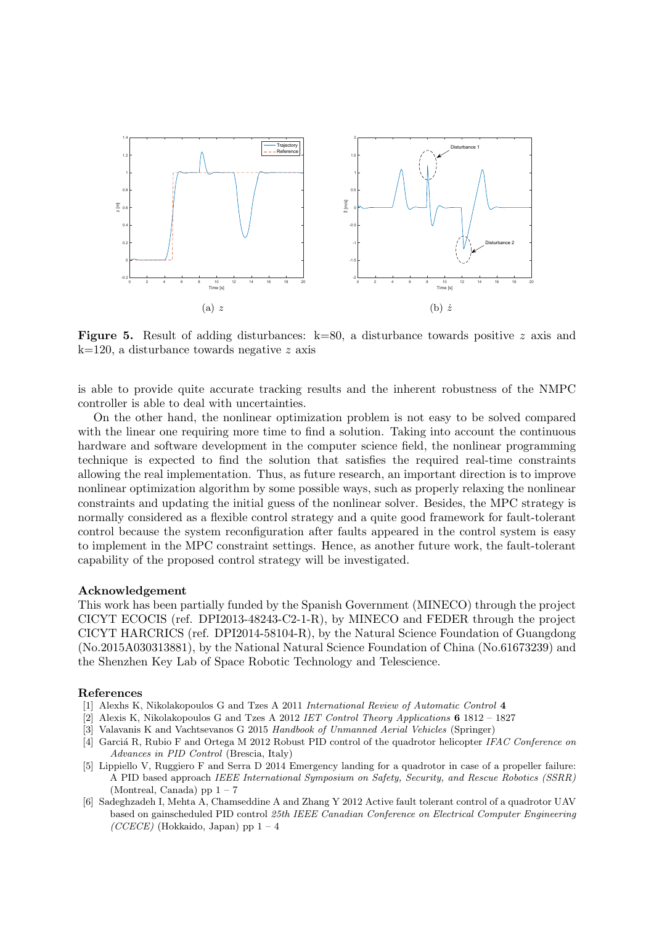

**Figure 5.** Result of adding disturbances:  $k=80$ , a disturbance towards positive z axis and  $k=120$ , a disturbance towards negative z axis

is able to provide quite accurate tracking results and the inherent robustness of the NMPC controller is able to deal with uncertainties.

On the other hand, the nonlinear optimization problem is not easy to be solved compared with the linear one requiring more time to find a solution. Taking into account the continuous hardware and software development in the computer science field, the nonlinear programming technique is expected to find the solution that satisfies the required real-time constraints allowing the real implementation. Thus, as future research, an important direction is to improve nonlinear optimization algorithm by some possible ways, such as properly relaxing the nonlinear constraints and updating the initial guess of the nonlinear solver. Besides, the MPC strategy is normally considered as a flexible control strategy and a quite good framework for fault-tolerant control because the system reconfiguration after faults appeared in the control system is easy to implement in the MPC constraint settings. Hence, as another future work, the fault-tolerant capability of the proposed control strategy will be investigated.

#### Acknowledgement

This work has been partially funded by the Spanish Government (MINECO) through the project CICYT ECOCIS (ref. DPI2013-48243-C2-1-R), by MINECO and FEDER through the project CICYT HARCRICS (ref. DPI2014-58104-R), by the Natural Science Foundation of Guangdong (No.2015A030313881), by the National Natural Science Foundation of China (No.61673239) and the Shenzhen Key Lab of Space Robotic Technology and Telescience.

#### References

- [1] Alexhs K, Nikolakopoulos G and Tzes A 2011 International Review of Automatic Control 4
- [2] Alexis K, Nikolakopoulos G and Tzes A 2012 IET Control Theory Applications 6 1812 1827
- [3] Valavanis K and Vachtsevanos G 2015 Handbook of Unmanned Aerial Vehicles (Springer)
- [4] Garciá R, Rubio F and Ortega M 2012 Robust PID control of the quadrotor helicopter IFAC Conference on Advances in PID Control (Brescia, Italy)
- [5] Lippiello V, Ruggiero F and Serra D 2014 Emergency landing for a quadrotor in case of a propeller failure: A PID based approach IEEE International Symposium on Safety, Security, and Rescue Robotics (SSRR) (Montreal, Canada) pp  $1 - 7$
- [6] Sadeghzadeh I, Mehta A, Chamseddine A and Zhang Y 2012 Active fault tolerant control of a quadrotor UAV based on gainscheduled PID control 25th IEEE Canadian Conference on Electrical Computer Engineering  $(CCECE)$  (Hokkaido, Japan) pp 1 – 4